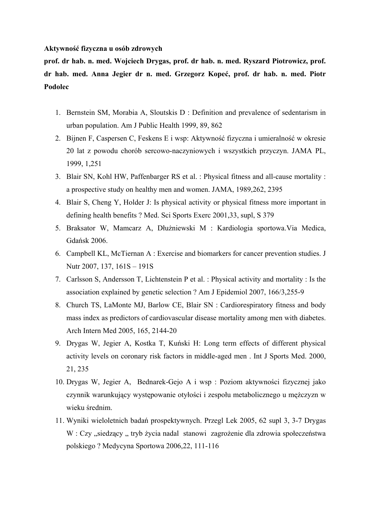#### **Aktywność fizyczna u osób zdrowych**

**prof. dr hab. n. med. Wojciech Drygas, prof. dr hab. n. med. Ryszard Piotrowicz, prof. dr hab. med. Anna Jegier dr n. med. Grzegorz Kopeć, prof. dr hab. n. med. Piotr Podolec**

- 1. Bernstein SM, Morabia A, Sloutskis D : Definition and prevalence of sedentarism in urban population. Am J Public Health 1999, 89, 862
- 2. Bijnen F, Caspersen C, Feskens E i wsp: Aktywność fizyczna i umieralność w okresie 20 lat z powodu chorób sercowo-naczyniowych i wszystkich przyczyn. JAMA PL, 1999, 1,251
- 3. Blair SN, Kohl HW, Paffenbarger RS et al. : Physical fitness and all-cause mortality : a prospective study on healthy men and women. JAMA, 1989,262, 2395
- 4. Blair S, Cheng Y, Holder J: Is physical activity or physical fitness more important in defining health benefits ? Med. Sci Sports Exerc 2001,33, supl, S 379
- 5. Braksator W, Mamcarz A, Dłużniewski M : Kardiologia sportowa.Via Medica, Gdańsk 2006.
- 6. Campbell KL, McTiernan A : Exercise and biomarkers for cancer prevention studies. J Nutr 2007, 137, 161S – 191S
- 7. Carlsson S, Andersson T, Lichtenstein P et al. : Physical activity and mortality : Is the association explained by genetic selection ? Am J Epidemiol 2007, 166/3,255-9
- 8. Church TS, LaMonte MJ, Barlow CE, Blair SN : Cardiorespiratory fitness and body mass index as predictors of cardiovascular disease mortality among men with diabetes. Arch Intern Med 2005, 165, 2144-20
- 9. Drygas W, Jegier A, Kostka T, Kuński H: Long term effects of different physical activity levels on coronary risk factors in middle-aged men . Int J Sports Med. 2000, 21, 235
- 10. Drygas W, Jegier A, Bednarek-Gejo A i wsp : Poziom aktywności fizycznej jako czynnik warunkujący występowanie otyłości i zespołu metabolicznego u mężczyzn w wieku średnim.
- 11. Wyniki wieloletnich badań prospektywnych. Przegl Lek 2005, 62 supl 3, 3-7 Drygas W : Czy "siedzący " tryb życia nadal stanowi zagrożenie dla zdrowia społeczeństwa polskiego ? Medycyna Sportowa 2006,22, 111-116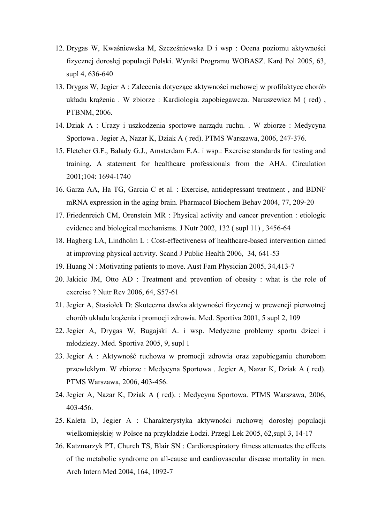- 12. Drygas W, Kwaśniewska M, Szcześniewska D i wsp : Ocena poziomu aktywności fizycznej dorosłej populacji Polski. Wyniki Programu WOBASZ. Kard Pol 2005, 63, supl 4, 636-640
- 13. Drygas W, Jegier A : Zalecenia dotyczące aktywności ruchowej w profilaktyce chorób układu krążenia . W zbiorze : Kardiologia zapobiegawcza. Naruszewicz M ( red) , PTBNM, 2006.
- 14. Dziak A : Urazy i uszkodzenia sportowe narządu ruchu. . W zbiorze : Medycyna Sportowa . Jegier A, Nazar K, Dziak A ( red). PTMS Warszawa, 2006, 247-376.
- 15. Fletcher G.F., Balady G.J., Amsterdam E.A. i wsp.: Exercise standards for testing and training. A statement for healthcare professionals from the AHA. Circulation 2001;104: 1694-1740
- 16. Garza AA, Ha TG, Garcia C et al. : Exercise, antidepressant treatment , and BDNF mRNA expression in the aging brain. Pharmacol Biochem Behav 2004, 77, 209-20
- 17. Friedenreich CM, Orenstein MR : Physical activity and cancer prevention : etiologic evidence and biological mechanisms. J Nutr 2002, 132 ( supl 11) , 3456-64
- 18. Hagberg LA, Lindholm L : Cost-effectiveness of healthcare-based intervention aimed at improving physical activity. Scand J Public Health 2006, 34, 641-53
- 19. Huang N : Motivating patients to move. Aust Fam Physician 2005, 34,413-7
- 20. Jakicic JM, Otto AD : Treatment and prevention of obesity : what is the role of exercise ? Nutr Rev 2006, 64, S57-61
- 21. Jegier A, Stasiołek D: Skuteczna dawka aktywności fizycznej w prewencji pierwotnej chorób układu krążenia i promocji zdrowia. Med. Sportiva 2001, 5 supl 2, 109
- 22. Jegier A, Drygas W, Bugajski A. i wsp. Medyczne problemy sportu dzieci i młodzieży. Med. Sportiva 2005, 9, supl 1
- 23. Jegier A : Aktywność ruchowa w promocji zdrowia oraz zapobieganiu chorobom przewlekłym. W zbiorze : Medycyna Sportowa . Jegier A, Nazar K, Dziak A ( red). PTMS Warszawa, 2006, 403-456.
- 24. Jegier A, Nazar K, Dziak A ( red). : Medycyna Sportowa. PTMS Warszawa, 2006, 403-456.
- 25. Kaleta D, Jegier A : Charakterystyka aktywności ruchowej dorosłej populacji wielkomiejskiej w Polsce na przykładzie Łodzi. Przegl Lek 2005, 62,supl 3, 14-17
- 26. Katzmarzyk PT, Church TS, Blair SN : Cardiorespiratory fitness attenuates the effects of the metabolic syndrome on all-cause and cardiovascular disease mortality in men. Arch Intern Med 2004, 164, 1092-7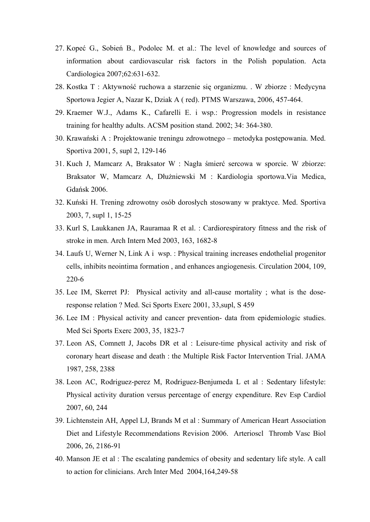- 27. Kopeć G., Sobień B., Podolec M. et al.: The level of knowledge and sources of information about cardiovascular risk factors in the Polish population. Acta Cardiologica 2007;62:631-632.
- 28. Kostka T : Aktywność ruchowa a starzenie się organizmu. . W zbiorze : Medycyna Sportowa Jegier A, Nazar K, Dziak A ( red). PTMS Warszawa, 2006, 457-464.
- 29. Kraemer W.J., Adams K., Cafarelli E. i wsp.: Progression models in resistance training for healthy adults. ACSM position stand. 2002; 34: 364-380.
- 30. Krawański A : Projektowanie treningu zdrowotnego metodyka postępowania. Med. Sportiva 2001, 5, supl 2, 129-146
- 31. Kuch J, Mamcarz A, Braksator W : Nagła śmierć sercowa w sporcie. W zbiorze: Braksator W, Mamcarz A, Dłużniewski M : Kardiologia sportowa.Via Medica, Gdańsk 2006.
- 32. Kuński H. Trening zdrowotny osób dorosłych stosowany w praktyce. Med. Sportiva 2003, 7, supl 1, 15-25
- 33. Kurl S, Laukkanen JA, Rauramaa R et al. : Cardiorespiratory fitness and the risk of stroke in men. Arch Intern Med 2003, 163, 1682-8
- 34. Laufs U, Werner N, Link A i wsp. : Physical training increases endothelial progenitor cells, inhibits neointima formation , and enhances angiogenesis. Circulation 2004, 109, 220-6
- 35. Lee IM, Skerret PJ: Physical activity and all-cause mortality ; what is the doseresponse relation ? Med. Sci Sports Exerc 2001, 33,supl, S 459
- 36. Lee IM : Physical activity and cancer prevention- data from epidemiologic studies. Med Sci Sports Exerc 2003, 35, 1823-7
- 37. Leon AS, Comnett J, Jacobs DR et al : Leisure-time physical activity and risk of coronary heart disease and death : the Multiple Risk Factor Intervention Trial. JAMA 1987, 258, 2388
- 38. Leon AC, Rodriguez-perez M, Rodriguez-Benjumeda L et al : Sedentary lifestyle: Physical activity duration versus percentage of energy expenditure. Rev Esp Cardiol 2007, 60, 244
- 39. Lichtenstein AH, Appel LJ, Brands M et al : Summary of American Heart Association Diet and Lifestyle Recommendations Revision 2006. Arterioscl Thromb Vasc Biol 2006, 26, 2186-91
- 40. Manson JE et al : The escalating pandemics of obesity and sedentary life style. A call to action for clinicians. Arch Inter Med 2004,164,249-58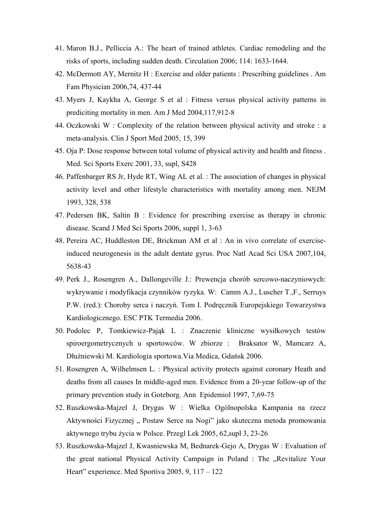- 41. Maron B.J., Pelliccia A.: The heart of trained athletes. Cardiac remodeling and the risks of sports, including sudden death. Circulation 2006; 114: 1633-1644.
- 42. McDermott AY, Mernitz H : Exercise and older patients : Prescribing guidelines . Am Fam Physician 2006,74, 437-44
- 43. Myers J, Kaykha A, George S et al : Fitness versus physical activity patterns in prediciting mortality in men. Am J Med 2004,117,912-8
- 44. Oczkowski W : Complexity of the relation between physical activity and stroke : a meta-analysis. Clin J Sport Med 2005, 15, 399
- 45. Oja P: Dose response between total volume of physical activity and health and fitness . Med. Sci Sports Exerc 2001, 33, supl, S428
- 46. Paffenbarger RS Jr, Hyde RT, Wing AL et al. : The association of changes in physical activity level and other lifestyle characteristics with mortality among men. NEJM 1993, 328, 538
- 47. Pedersen BK, Saltin B : Evidence for prescribing exercise as therapy in chronic disease. Scand J Med Sci Sports 2006, suppl 1, 3-63
- 48. Pereira AC, Huddleston DE, Brickman AM et al : An in vivo correlate of exerciseinduced neurogenesis in the adult dentate gyrus. Proc Natl Acad Sci USA 2007,104, 5638-43
- 49. Perk J., Rosengren A., Dallongeville J.: Prewencja chorób sercowo-naczyniowych: wykrywanie i modyfikacja czynników ryzyka. W: Camm A.J., Luscher T.,F., Serruys P.W. (red.): Choroby serca i naczyń. Tom I. Podręcznik Europejskiego Towarzystwa Kardiologicznego. ESC PTK Termedia 2006.
- 50. Podolec P, Tomkiewicz-Pająk L : Znaczenie kliniczne wysiłkowych testów spiroergometrycznych u sportowców. W zbiorze : Braksator W, Mamcarz A, Dłużniewski M. Kardiologia sportowa.Via Medica, Gdańsk 2006.
- 51. Rosengren A, Wilhelmsen L. : Physical activity protects against coronary Heath and deaths from all causes In middle-aged men. Evidence from a 20-year follow-up of the primary prevention study in Goteborg. Ann Epidemiol 1997, 7,69-75
- 52. Ruszkowska-Majzel J, Drygas W : Wielka Ogólnopolska Kampania na rzecz Aktywności Fizycznej " Postaw Serce na Nogi" jako skuteczna metoda promowania aktywnego trybu życia w Polsce. Przegl Lek 2005, 62,supl 3, 23-26
- 53. Ruszkowska-Majzel J, Kwasniewska M, Bednarek-Gejo A, Drygas W : Evaluation of the great national Physical Activity Campaign in Poland : The "Revitalize Your Heart" experience. Med Sportiva 2005, 9, 117 – 122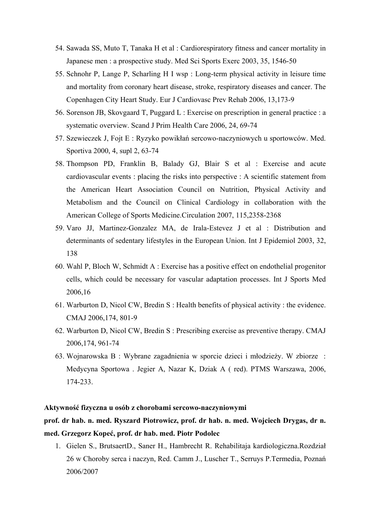- 54. Sawada SS, Muto T, Tanaka H et al : Cardiorespiratory fitness and cancer mortality in Japanese men : a prospective study. Med Sci Sports Exerc 2003, 35, 1546-50
- 55. Schnohr P, Lange P, Scharling H I wsp : Long-term physical activity in leisure time and mortality from coronary heart disease, stroke, respiratory diseases and cancer. The Copenhagen City Heart Study. Eur J Cardiovasc Prev Rehab 2006, 13,173-9
- 56. Sorenson JB, Skovgaard T, Puggard L : Exercise on prescription in general practice : a systematic overview. Scand J Prim Health Care 2006, 24, 69-74
- 57. Szewieczek J, Fojt E : Ryzyko powikłań sercowo-naczyniowych u sportowców. Med. Sportiva 2000, 4, supl 2, 63-74
- 58. Thompson PD, Franklin B, Balady GJ, Blair S et al : Exercise and acute cardiovascular events : placing the risks into perspective : A scientific statement from the American Heart Association Council on Nutrition, Physical Activity and Metabolism and the Council on Clinical Cardiology in collaboration with the American College of Sports Medicine.Circulation 2007, 115,2358-2368
- 59. Varo JJ, Martinez-Gonzalez MA, de Irala-Estevez J et al : Distribution and determinants of sedentary lifestyles in the European Union. Int J Epidemiol 2003, 32, 138
- 60. Wahl P, Bloch W, Schmidt A : Exercise has a positive effect on endothelial progenitor cells, which could be necessary for vascular adaptation processes. Int J Sports Med 2006,16
- 61. Warburton D, Nicol CW, Bredin S : Health benefits of physical activity : the evidence. CMAJ 2006,174, 801-9
- 62. Warburton D, Nicol CW, Bredin S : Prescribing exercise as preventive therapy. CMAJ 2006,174, 961-74
- 63. Wojnarowska B : Wybrane zagadnienia w sporcie dzieci i młodzieży. W zbiorze : Medycyna Sportowa . Jegier A, Nazar K, Dziak A ( red). PTMS Warszawa, 2006, 174-233.

#### **Aktywność fizyczna u osób z chorobami sercowo-naczyniowymi**

# **prof. dr hab. n. med. Ryszard Piotrowicz, prof. dr hab. n. med. Wojciech Drygas, dr n. med. Grzegorz Kopeć, prof. dr hab. med. Piotr Podolec**

1. Gielen S., BrutsaertD., Saner H., Hambrecht R. Rehabilitaja kardiologiczna.Rozdział 26 w Choroby serca i naczyn, Red. Camm J., Luscher T., Serruys P.Termedia, Poznań 2006/2007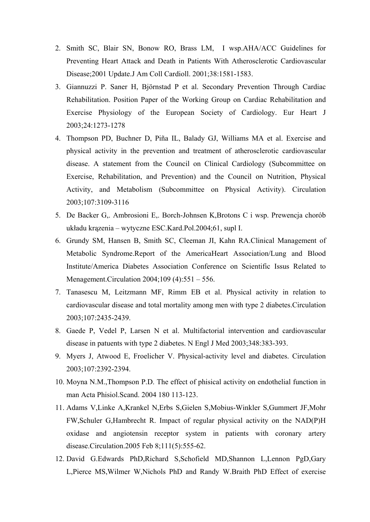- 2. Smith SC, Blair SN, Bonow RO, Brass LM, I wsp.AHA/ACC Guidelines for Preventing Heart Attack and Death in Patients With Atherosclerotic Cardiovascular Disease;2001 Update.J Am Coll Cardioll. 2001;38:1581-1583.
- 3. Giannuzzi P. Saner H, Björnstad P et al. Secondary Prevention Through Cardiac Rehabilitation. Position Paper of the Working Group on Cardiac Rehabilitation and Exercise Physiology of the European Society of Cardiology. Eur Heart J 2003;24:1273-1278
- 4. Thompson PD, Buchner D, Piña IL, Balady GJ, Williams MA et al. Exercise and physical activity in the prevention and treatment of atherosclerotic cardiovascular disease. A statement from the Council on Clinical Cardiology (Subcommittee on Exercise, Rehabilitation, and Prevention) and the Council on Nutrition, Physical Activity, and Metabolism (Subcommittee on Physical Activity). Circulation 2003;107:3109-3116
- 5. De Backer G,. Ambrosioni E,. Borch-Johnsen K,Brotons C i wsp. Prewencja chorób układu krązenia – wytyczne ESC.Kard.Pol.2004;61, supl I.
- 6. Grundy SM, Hansen B, Smith SC, Cleeman JI, Kahn RA.Clinical Management of Metabolic Syndrome.Report of the AmericaHeart Association/Lung and Blood Institute/America Diabetes Association Conference on Scientific Issus Related to Menagement.Circulation 2004;109 (4):551 – 556.
- 7. Tanasescu M, Leitzmann MF, Rimm EB et al. Physical activity in relation to cardiovascular disease and total mortality among men with type 2 diabetes.Circulation 2003;107:2435-2439.
- 8. Gaede P, Vedel P, Larsen N et al. Multifactorial intervention and cardiovascular disease in patuents with type 2 diabetes. N Engl J Med 2003;348:383-393.
- 9. Myers J, Atwood E, Froelicher V. Physical-activity level and diabetes. Circulation 2003;107:2392-2394.
- 10. Moyna N.M.,Thompson P.D. The effect of phisical activity on endothelial function in man Acta Phisiol.Scand. 2004 180 113-123.
- 11. Adams V,Linke A,Krankel N,Erbs S,Gielen S,Mobius-Winkler S,Gummert JF,Mohr FW,Schuler G,Hambrecht R. Impact of regular physical activity on the NAD(P)H oxidase and angiotensin receptor system in patients with coronary artery disease.Circulation.2005 Feb 8;111(5):555-62.
- 12. David G.Edwards PhD,Richard S,Schofield MD,Shannon L,Lennon PgD,Gary L,Pierce MS,Wilmer W,Nichols PhD and Randy W.Braith PhD Effect of exercise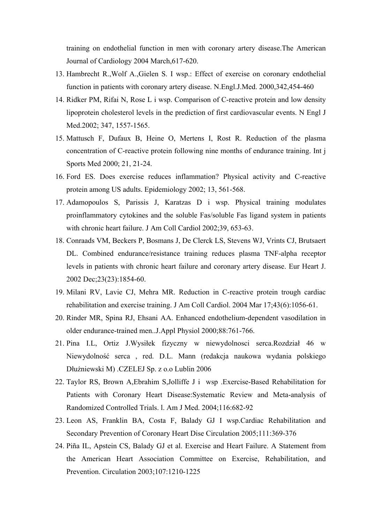training on endothelial function in men with coronary artery disease.The American Journal of Cardiology 2004 March,617-620.

- 13. Hambrecht R.,Wolf A.,Gielen S. I wsp.: Effect of exercise on coronary endothelial function in patients with coronary artery disease. N.Engl.J.Med. 2000,342,454-460
- 14. Ridker PM, Rifai N, Rose L i wsp. Comparison of C-reactive protein and low density lipoprotein cholesterol levels in the prediction of first cardiovascular events. N Engl J Med.2002; 347, 1557-1565.
- 15. Mattusch F, Dufaux B, Heine O, Mertens I, Rost R. Reduction of the plasma concentration of C-reactive protein following nine months of endurance training. Int j Sports Med 2000; 21, 21-24.
- 16. Ford ES. Does exercise reduces inflammation? Physical activity and C-reactive protein among US adults. Epidemiology 2002; 13, 561-568.
- 17. Adamopoulos S, Parissis J, Karatzas D i wsp. Physical training modulates proinflammatory cytokines and the soluble Fas/soluble Fas ligand system in patients with chronic heart failure. J Am Coll Cardiol 2002;39, 653-63.
- 18. Conraads VM, Beckers P, Bosmans J, De Clerck LS, Stevens WJ, Vrints CJ, Brutsaert DL. Combined endurance/resistance training reduces plasma TNF-alpha receptor levels in patients with chronic heart failure and coronary artery disease. Eur Heart J. 2002 Dec;23(23):1854-60.
- 19. Milani RV, Lavie CJ, Mehra MR. Reduction in C-reactive protein trough cardiac rehabilitation and exercise training. J Am Coll Cardiol. 2004 Mar 17;43(6):1056-61.
- 20. Rinder MR, Spina RJ, Ehsani AA. Enhanced endothelium-dependent vasodilation in older endurance-trained men..J.Appl Physiol 2000;88:761-766.
- 21. Pina I.L, Ortiz J.Wysiłek fizyczny w niewydolnosci serca.Rozdział 46 w Niewydolność serca , red. D.L. Mann (redakcja naukowa wydania polskiego Dłużniewski M) .CZELEJ Sp. z o.o Lublin 2006
- 22. Taylor RS, Brown A,Ebrahim S,Jolliffe J i wsp .Exercise-Based Rehabilitation for Patients with Coronary Heart Disease:Systematic Review and Meta-analysis of Randomized Controlled Trials. l. Am J Med. 2004;116:682-92
- 23. Leon AS, Franklin BA, Costa F, Balady GJ I wsp.Cardiac Rehabilitation and Secondary Prevention of Coronary Heart Dise Circulation 2005;111:369-376
- 24. Piña IL, Apstein CS, Balady GJ et al. Exercise and Heart Failure. A Statement from the American Heart Association Committee on Exercise, Rehabilitation, and Prevention. Circulation 2003;107:1210-1225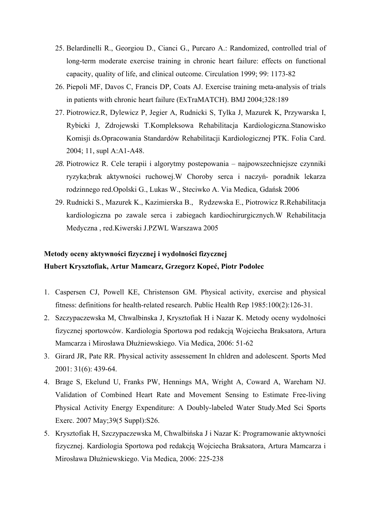- 25. Belardinelli R., Georgiou D., Cianci G., Purcaro A.: Randomized, controlled trial of long-term moderate exercise training in chronic heart failure: effects on functional capacity, quality of life, and clinical outcome. Circulation 1999; 99: 1173-82
- 26. Piepoli MF, Davos C, Francis DP, Coats AJ. Exercise training meta-analysis of trials in patients with chronic heart failure (ExTraMATCH). BMJ 2004;328:189
- 27. Piotrowicz.R, Dylewicz P, Jegier A, Rudnicki S, Tylka J, Mazurek K, Przywarska I, Rybicki J, Zdrojewski T.Kompleksowa Rehabilitacja Kardiologiczna.Stanowisko Komisji ds.Opracowania Standardów Rehabilitacji Kardiologicznej PTK. Folia Card. 2004; 11, supl A:A1-A48.
- *28.* Piotrowicz R. Cele terapii i algorytmy postepowania najpowszechniejsze czynniki ryzyka;brak aktywności ruchowej.W Choroby serca i naczyń- poradnik lekarza rodzinnego red.Opolski G., Lukas W., Steciwko A. Via Medica, Gdańsk 2006
- 29. Rudnicki S., Mazurek K., Kazimierska B., Rydzewska E., Piotrowicz R.Rehabilitacja kardiologiczna po zawale serca i zabiegach kardiochirurgicznych.W Rehabilitacja Medyczna , red.Kiwerski J.PZWL Warszawa 2005

# **Metody oceny aktywności fizycznej i wydolności fizycznej Hubert Krysztofiak, Artur Mamcarz, Grzegorz Kopeć, Piotr Podolec**

- 1. Caspersen CJ, Powell KE, Christenson GM. Physical activity, exercise and physical fitness: definitions for health-related research. Public Health Rep 1985:100(2):126-31.
- 2. Szczypaczewska M, Chwalbinska J, Krysztofiak H i Nazar K. Metody oceny wydolności fizycznej sportowców. Kardiologia Sportowa pod redakcją Wojciecha Braksatora, Artura Mamcarza i Mirosława Dłużniewskiego. Via Medica, 2006: 51-62
- 3. Girard JR, Pate RR. Physical activity assessement In chldren and adolescent. Sports Med 2001: 31(6): 439-64.
- 4. Brage S, Ekelund U, Franks PW, Hennings MA, Wright A, Coward A, Wareham NJ. Validation of Combined Heart Rate and Movement Sensing to Estimate Free-living Physical Activity Energy Expenditure: A Doubly-labeled Water Study.Med Sci Sports Exerc. 2007 May;39(5 Suppl):S26.
- 5. Krysztofiak H, Szczypaczewska M, Chwalbińska J i Nazar K: Programowanie aktywności fizycznej. Kardiologia Sportowa pod redakcją Wojciecha Braksatora, Artura Mamcarza i Mirosława Dłużniewskiego. Via Medica, 2006: 225-238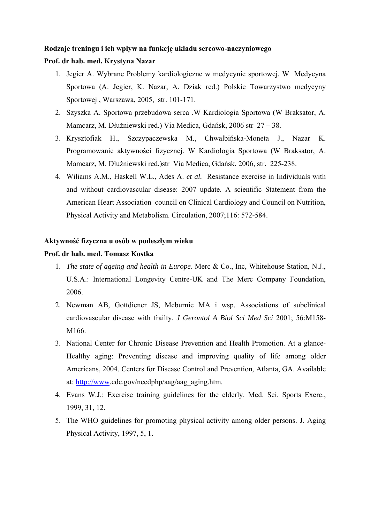#### **Rodzaje treningu i ich wpływ na funkcję układu sercowo-naczyniowego**

### **Prof. dr hab. med. Krystyna Nazar**

- 1. Jegier A. Wybrane Problemy kardiologiczne w medycynie sportowej. W Medycyna Sportowa (A. Jegier, K. Nazar, A. Dziak red.) Polskie Towarzystwo medycyny Sportowej , Warszawa, 2005, str. 101-171.
- 2. Szyszka A. Sportowa przebudowa serca .W Kardiologia Sportowa (W Braksator, A. Mamcarz, M. Dłużniewski red.) Via Medica, Gdańsk, 2006 str 27 – 38.
- 3. Krysztofiak H., Szczypaczewska M., Chwalbińska-Moneta J., Nazar K. Programowanie aktywności fizycznej. W Kardiologia Sportowa (W Braksator, A. Mamcarz, M. Dłużniewski red.)str Via Medica, Gdańsk, 2006, str. 225-238.
- 4. Wiliams A.M., Haskell W.L., Ades A. *et al.* Resistance exercise in Individuals with and without cardiovascular disease: 2007 update. A scientific Statement from the American Heart Association council on Clinical Cardiology and Council on Nutrition, Physical Activity and Metabolism. Circulation, 2007;116: 572-584.

### **Aktywność fizyczna u osób w podeszłym wieku**

#### **Prof. dr hab. med. Tomasz Kostka**

- 1. *The state of ageing and health in Europe*. Merc & Co., Inc, Whitehouse Station, N.J., U.S.A.: International Longevity Centre-UK and The Merc Company Foundation, 2006.
- 2. Newman AB, Gottdiener JS, Mcburnie MA i wsp. Associations of subclinical cardiovascular disease with frailty. *J Gerontol A Biol Sci Med Sci* 2001; 56:M158- M166.
- 3. National Center for Chronic Disease Prevention and Health Promotion. At a glance-Healthy aging: Preventing disease and improving quality of life among older Americans, 2004. Centers for Disease Control and Prevention, Atlanta, GA. Available at: [http://www.](http://www/)cdc.gov/nccdphp/aag/aag\_aging.htm.
- 4. Evans W.J.: Exercise training guidelines for the elderly. Med. Sci. Sports Exerc., 1999, 31, 12.
- 5. The WHO guidelines for promoting physical activity among older persons. J. Aging Physical Activity, 1997, 5, 1.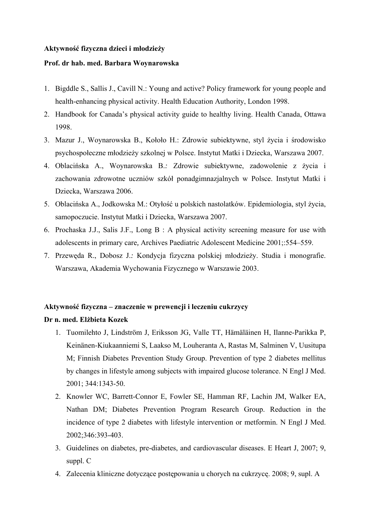#### **Aktywność fizyczna dzieci i młodzieży**

### **Prof. dr hab. med. Barbara Woynarowska**

- 1. Bigddle S., Sallis J., Cavill N.: Young and active? Policy framework for young people and health-enhancing physical activity. Health Education Authority, London 1998.
- 2. Handbook for Canada's physical activity guide to healthy living. Health Canada, Ottawa 1998.
- 3. Mazur J., Woynarowska B., Kołoło H.: Zdrowie subiektywne, styl życia i środowisko psychospołeczne młodzieży szkolnej w Polsce. Instytut Matki i Dziecka, Warszawa 2007.
- 4. Oblacińska A., Woynarowska B.*:* Zdrowie subiektywne, zadowolenie z życia i zachowania zdrowotne uczniów szkół ponadgimnazjalnych w Polsce. Instytut Matki i Dziecka, Warszawa 2006.
- 5. Oblacińska A., Jodkowska M.: Otyłość u polskich nastolatków. Epidemiologia, styl życia, samopoczucie. Instytut Matki i Dziecka, Warszawa 2007.
- 6. Prochaska J.J., Salis J.F., Long B : A physical activity screening measure for use with adolescents in primary care*,* Archives Paediatric Adolescent Medicine 2001;:554–559.
- 7. Przewęda R., Dobosz J.*:* Kondycja fizyczna polskiej młodzieży. Studia i monografie. Warszawa, Akademia Wychowania Fizycznego w Warszawie 2003.

## **Aktywność fizyczna – znaczenie w prewencji i leczeniu cukrzycy**

## **Dr n. med. Elżbieta Kozek**

- 1. Tuomilehto J, Lindström J, Eriksson JG, Valle TT, Hämäläinen H, Ilanne-Parikka P, Keinänen-Kiukaanniemi S, Laakso M, Louheranta A, Rastas M, Salminen V, Uusitupa M; Finnish Diabetes Prevention Study Group. Prevention of type 2 diabetes mellitus by changes in lifestyle among subjects with impaired glucose tolerance. N Engl J Med. 2001; 344:1343-50.
- 2. Knowler WC, Barrett-Connor E, Fowler SE, Hamman RF, Lachin JM, Walker EA, Nathan DM; Diabetes Prevention Program Research Group. Reduction in the incidence of type 2 diabetes with lifestyle intervention or metformin. N Engl J Med. 2002;346:393-403.
- 3. Guidelines on diabetes, pre-diabetes, and cardiovascular diseases. E Heart J, 2007; 9, suppl. C
- 4. Zalecenia kliniczne dotyczące postępowania u chorych na cukrzycę. 2008; 9, supl. A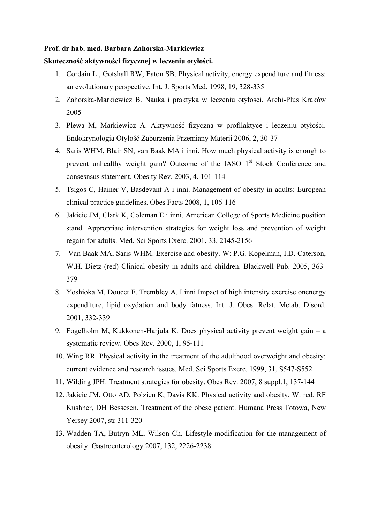#### **Prof. dr hab. med. Barbara Zahorska-Markiewicz**

#### **Skuteczność aktywności fizycznej w leczeniu otyłości.**

- 1. Cordain L., Gotshall RW, Eaton SB. Physical activity, energy expenditure and fitness: an evolutionary perspective. Int. J. Sports Med. 1998, 19, 328-335
- 2. Zahorska-Markiewicz B. Nauka i praktyka w leczeniu otyłości. Archi-Plus Kraków 2005
- 3. Plewa M, Markiewicz A. Aktywność fizyczna w profilaktyce i leczeniu otyłości. Endokrynologia Otyłość Zaburzenia Przemiany Materii 2006, 2, 30-37
- 4. Saris WHM, Blair SN, van Baak MA i inni. How much physical activity is enough to prevent unhealthy weight gain? Outcome of the IASO 1<sup>st</sup> Stock Conference and consesnsus statement. Obesity Rev. 2003, 4, 101-114
- 5. Tsigos C, Hainer V, Basdevant A i inni. Management of obesity in adults: European clinical practice guidelines. Obes Facts 2008, 1, 106-116
- 6. Jakicic JM, Clark K, Coleman E i inni. American College of Sports Medicine position stand. Appropriate intervention strategies for weight loss and prevention of weight regain for adults. Med. Sci Sports Exerc. 2001, 33, 2145-2156
- 7. Van Baak MA, Saris WHM. Exercise and obesity. W: P.G. Kopelman, I.D. Caterson, W.H. Dietz (red) Clinical obesity in adults and children. Blackwell Pub. 2005, 363- 379
- 8. Yoshioka M, Doucet E, Trembley A. I inni Impact of high intensity exercise onenergy expenditure, lipid oxydation and body fatness. Int. J. Obes. Relat. Metab. Disord. 2001, 332-339
- 9. Fogelholm M, Kukkonen-Harjula K. Does physical activity prevent weight gain a systematic review. Obes Rev. 2000, 1, 95-111
- 10. Wing RR. Physical activity in the treatment of the adulthood overweight and obesity: current evidence and research issues. Med. Sci Sports Exerc. 1999, 31, S547-S552
- 11. Wilding JPH. Treatment strategies for obesity. Obes Rev. 2007, 8 suppl.1, 137-144
- 12. Jakicic JM, Otto AD, Polzien K, Davis KK. Physical activity and obesity. W: red. RF Kushner, DH Bessesen. Treatment of the obese patient. Humana Press Totowa, New Yersey 2007, str 311-320
- 13. Wadden TA, Butryn ML, Wilson Ch. Lifestyle modification for the management of obesity. Gastroenterology 2007, 132, 2226-2238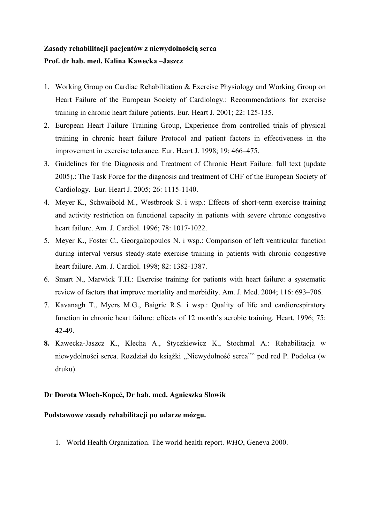# **Zasady rehabilitacji pacjentów z niewydolnością serca Prof. dr hab. med. Kalina Kawecka –Jaszcz**

- 1. Working Group on Cardiac Rehabilitation & Exercise Physiology and Working Group on Heart Failure of the European Society of Cardiology.: Recommendations for exercise training in chronic heart failure patients. Eur. Heart J. 2001; 22: 125-135.
- 2. European Heart Failure Training Group, Experience from controlled trials of physical training in chronic heart failure Protocol and patient factors in effectiveness in the improvement in exercise tolerance. Eur. Heart J. 1998; 19: 466–475.
- 3. Guidelines for the Diagnosis and Treatment of Chronic Heart Failure: full text (update 2005).: The Task Force for the diagnosis and treatment of CHF of the European Society of Cardiology. Eur. Heart J. 2005; 26: 1115-1140.
- 4. Meyer K., Schwaibold M., Westbrook S. i wsp.: Effects of short-term exercise training and activity restriction on functional capacity in patients with severe chronic congestive heart failure. Am. J. Cardiol. 1996; 78: 1017-1022.
- 5. Meyer K., Foster C., Georgakopoulos N. i wsp.: Comparison of left ventricular function during interval versus steady-state exercise training in patients with chronic congestive heart failure. Am. J. Cardiol. 1998; 82: 1382-1387.
- 6. Smart N., Marwick T.H.: Exercise training for patients with heart failure: a systematic review of factors that improve mortality and morbidity. Am. J. Med. 2004; 116: 693–706.
- 7. Kavanagh T., Myers M.G., Baigrie R.S. i wsp.: Quality of life and cardiorespiratory function in chronic heart failure: effects of 12 month's aerobic training. Heart. 1996; 75: 42-49.
- **8.** Kawecka-Jaszcz K., Klecha A., Styczkiewicz K., Stochmal A.: Rehabilitacja w niewydolności serca. Rozdział do książki ,,Niewydolność serca"" pod red P. Podolca (w druku).

## **Dr Dorota Włoch-Kopeć, Dr hab. med. Agnieszka Słowik**

## **Podstawowe zasady rehabilitacji po udarze mózgu.**

1. World Health Organization. The world health report. *WHO*, Geneva 2000.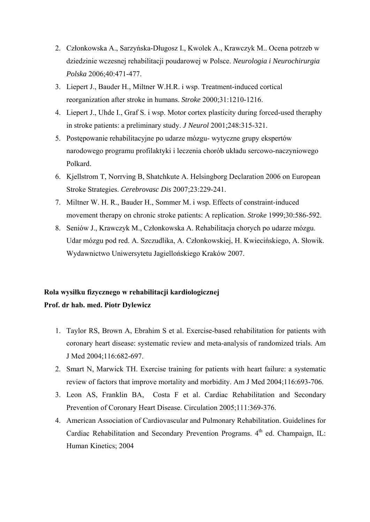- 2. Członkowska A., Sarzyńska-Długosz I., Kwolek A., Krawczyk M.. Ocena potrzeb w dziedzinie wczesnej rehabilitacji poudarowej w Polsce. *Neurologia i Neurochirurgia Polska* 2006;40:471-477.
- 3. Liepert J., Bauder H., Miltner W.H.R. i wsp. Treatment-induced cortical reorganization after stroke in humans. *Stroke* 2000;31:1210-1216.
- 4. Liepert J., Uhde I., Graf S. i wsp. Motor cortex plasticity during forced-used theraphy in stroke patients: a preliminary study. *J Neurol* 2001;248:315-321.
- 5. Postępowanie rehabilitacyjne po udarze mózgu- wytyczne grupy ekspertów narodowego programu profilaktyki i leczenia chorób układu sercowo-naczyniowego Polkard.
- 6. Kjellstrom T, Norrving B, Shatchkute A. Helsingborg Declaration 2006 on European Stroke Strategies. *Cerebrovasc Dis* 2007;23:229-241.
- 7. Miltner W. H. R., Bauder H., Sommer M. i wsp. Effects of constraint-induced movement therapy on chronic stroke patients: A replication. *Stroke* 1999;30:586-592.
- 8. Seniów J., Krawczyk M., Członkowska A. Rehabilitacja chorych po udarze mózgu. Udar mózgu pod red. A. Szczudlika, A. Członkowskiej, H. Kwiecińskiego, A. Słowik. Wydawnictwo Uniwersytetu Jagiellońskiego Kraków 2007.

# **Rola wysiłku fizycznego w rehabilitacji kardiologicznej Prof. dr hab. med. Piotr Dylewicz**

- 1. Taylor RS, Brown A, Ebrahim S et al. Exercise-based rehabilitation for patients with coronary heart disease: systematic review and meta-analysis of randomized trials. Am J Med 2004;116:682-697.
- 2. Smart N, Marwick TH. Exercise training for patients with heart failure: a systematic review of factors that improve mortality and morbidity. Am J Med 2004;116:693-706.
- 3. Leon AS, Franklin BA, Costa F et al. Cardiac Rehabilitation and Secondary Prevention of Coronary Heart Disease. Circulation 2005;111:369-376.
- 4. American Association of Cardiovascular and Pulmonary Rehabilitation. Guidelines for Cardiac Rehabilitation and Secondary Prevention Programs.  $4<sup>th</sup>$  ed. Champaign, IL: Human Kinetics; 2004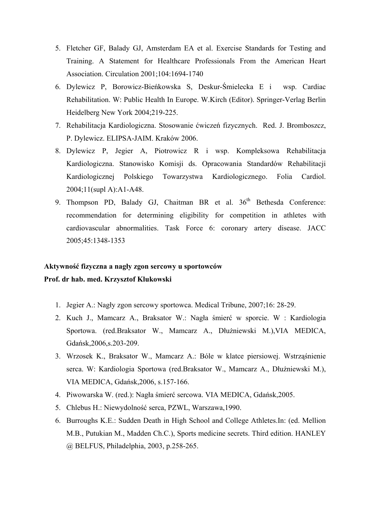- 5. Fletcher GF, Balady GJ, Amsterdam EA et al. Exercise Standards for Testing and Training. A Statement for Healthcare Professionals From the American Heart Association. Circulation 2001;104:1694-1740
- 6. Dylewicz P, Borowicz-Bieńkowska S, Deskur-Śmielecka E i wsp. Cardiac Rehabilitation. W: Public Health In Europe. W.Kirch (Editor). Springer-Verlag Berlin Heidelberg New York 2004;219-225.
- 7. Rehabilitacja Kardiologiczna. Stosowanie ćwiczeń fizycznych. Red. J. Bromboszcz, P. Dylewicz. ELIPSA-JAIM. Kraków 2006.
- 8. Dylewicz P, Jegier A, Piotrowicz R i wsp. Kompleksowa Rehabilitacja Kardiologiczna. Stanowisko Komisji ds. Opracowania Standardów Rehabilitacji Kardiologicznej Polskiego Towarzystwa Kardiologicznego. Folia Cardiol. 2004;11(supl A):A1-A48.
- 9. Thompson PD, Balady GJ, Chaitman BR et al. 36<sup>th</sup> Bethesda Conference: recommendation for determining eligibility for competition in athletes with cardiovascular abnormalities. Task Force 6: coronary artery disease. JACC 2005;45:1348-1353

# **Aktywność fizyczna a nagły zgon sercowy u sportowców**

# **Prof. dr hab. med. Krzysztof Klukowski**

- 1. Jegier A.: Nagły zgon sercowy sportowca. Medical Tribune, 2007;16: 28-29.
- 2. Kuch J., Mamcarz A., Braksator W.: Nagła śmierć w sporcie. W : Kardiologia Sportowa. (red.Braksator W., Mamcarz A., Dłużniewski M.),VIA MEDICA, Gdańsk,2006,s.203-209.
- 3. Wrzosek K., Braksator W., Mamcarz A.: Bóle w klatce piersiowej. Wstrząśnienie serca. W: Kardiologia Sportowa (red.Braksator W., Mamcarz A., Dłużniewski M.), VIA MEDICA, Gdańsk,2006, s.157-166.
- 4. Piwowarska W. (red.): Nagła śmierć sercowa. VIA MEDICA, Gdańsk,2005.
- 5. Chlebus H.: Niewydolność serca, PZWL, Warszawa,1990.
- 6. Burroughs K.E.: Sudden Death in High School and College Athletes.In: (ed. Mellion M.B., Putukian M., Madden Ch.C.), Sports medicine secrets. Third edition. HANLEY @ BELFUS, Philadelphia, 2003, p.258-265.